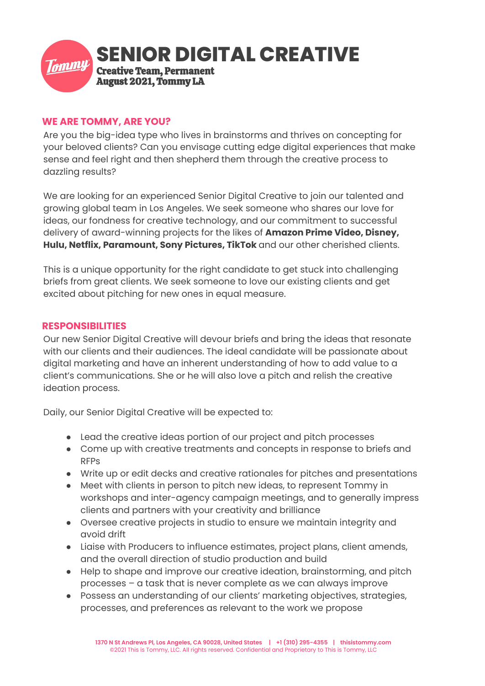

# **WE ARE TOMMY, ARE YOU?**

Are you the big-idea type who lives in brainstorms and thrives on concepting for your beloved clients? Can you envisage cutting edge digital experiences that make sense and feel right and then shepherd them through the creative process to dazzling results?

We are looking for an experienced Senior Digital Creative to join our talented and growing global team in Los Angeles. We seek someone who shares our love for ideas, our fondness for creative technology, and our commitment to successful delivery of award-winning projects for the likes of **Amazon Prime Video, Disney, Hulu, Netflix, Paramount, Sony Pictures, TikTok** and our other cherished clients.

This is a unique opportunity for the right candidate to get stuck into challenging briefs from great clients. We seek someone to love our existing clients and get excited about pitching for new ones in equal measure.

#### **RESPONSIBILITIES**

Our new Senior Digital Creative will devour briefs and bring the ideas that resonate with our clients and their audiences. The ideal candidate will be passionate about digital marketing and have an inherent understanding of how to add value to a client's communications. She or he will also love a pitch and relish the creative ideation process.

Daily, our Senior Digital Creative will be expected to:

- Lead the creative ideas portion of our project and pitch processes
- Come up with creative treatments and concepts in response to briefs and RFPs
- Write up or edit decks and creative rationales for pitches and presentations
- Meet with clients in person to pitch new ideas, to represent Tommy in workshops and inter-agency campaign meetings, and to generally impress clients and partners with your creativity and brilliance
- Oversee creative projects in studio to ensure we maintain integrity and avoid drift
- Liaise with Producers to influence estimates, project plans, client amends, and the overall direction of studio production and build
- Help to shape and improve our creative ideation, brainstorming, and pitch processes – a task that is never complete as we can always improve
- Possess an understanding of our clients' marketing objectives, strategies, processes, and preferences as relevant to the work we propose